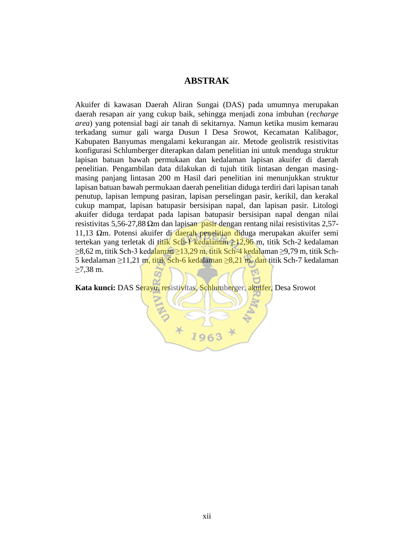## **ABSTRAK**

Akuifer di kawasan Daerah Aliran Sungai (DAS) pada umumnya merupakan daerah resapan air yang cukup baik, sehingga menjadi zona imbuhan (*recharge area*) yang potensial bagi air tanah di sekitarnya. Namun ketika musim kemarau terkadang sumur gali warga Dusun I Desa Srowot, Kecamatan Kalibagor, Kabupaten Banyumas mengalami kekurangan air. Metode geolistrik resistivitas konfigurasi Schlumberger diterapkan dalam penelitian ini untuk menduga struktur lapisan batuan bawah permukaan dan kedalaman lapisan akuifer di daerah penelitian. Pengambilan data dilakukan di tujuh titik lintasan dengan masingmasing panjang lintasan 200 m Hasil dari penelitian ini menunjukkan struktur lapisan batuan bawah permukaan daerah penelitian diduga terdiri dari lapisan tanah penutup, lapisan lempung pasiran, lapisan perselingan pasir, kerikil, dan kerakal cukup mampat, lapisan batupasir bersisipan napal, dan lapisan pasir. Litologi akuifer diduga terdapat pada lapisan batupasir bersisipan napal dengan nilai resistivitas 5,56-27,88 Ωm dan lapisan pasir dengan rentang nilai resistivitas 2,57- 11,13 Ωm. Potensi akuifer di daerah penelitian diduga merupakan akuifer semi tertekan yang terletak di titik Sch-1 kedalaman ≥12,96 m, titik Sch-2 kedalaman ≥8,62 m, titik Sch-3 kedalaman ≥13,29 m, titik Sch-4 kedalaman ≥9,79 m, titik Sch-5 kedalaman ≥11,21 m, titik Sch-6 kedalaman ≥8,21 m, dan titik Sch-7 kedalaman ≥7,38 m.

**Kata kunci:** DAS Serayu, resistivitas, Schlumberger, akuifer, Desa Srowot

196